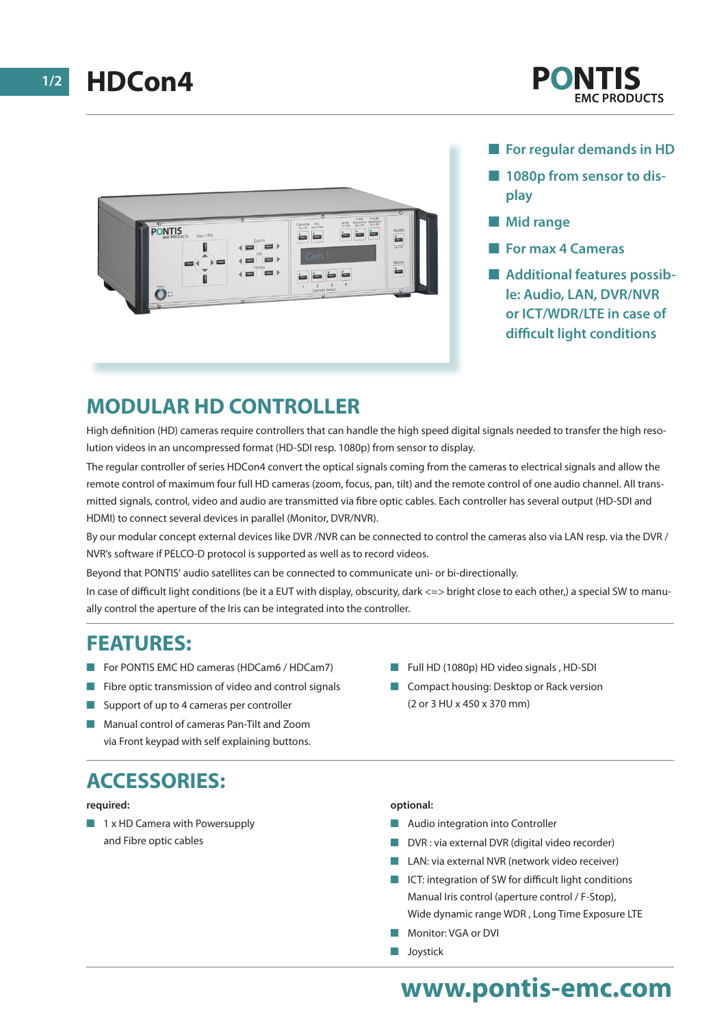

#### **For regular demands in HD**

- **1080p from sensor to display**
- **Nid range**
- **For max 4 Cameras**
- Additional features possib**le: Audio, LAN, DVR/NVR or ICT/WDR/LTE in case of difficult light conditions**

## **MODULAR HD CONTROLLER**

High definition (HD) cameras require controllers that can handle the high speed digital signals needed to transfer the high resolution videos in an uncompressed format (HD-SDI resp. 1080p) from sensor to display.

The regular controller of series HDCon4 convert the optical signals coming from the cameras to electrical signals and allow the remote control of maximum four full HD cameras (zoom, focus, pan, tilt) and the remote control of one audio channel. All transmitted signals, control, video and audio are transmitted via fibre optic cables. Each controller has several output (HD-SDI and HDMI) to connect several devices in parallel (Monitor, DVR/NVR).

By our modular concept external devices like DVR /NVR can be connected to control the cameras also via LAN resp. via the DVR / NVR's software if PELCO-D protocol is supported as well as to record videos.

Beyond that PONTIS' audio satellites can be connected to communicate uni- or bi-directionally.

In case of difficult light conditions (be it a EUT with display, obscurity, dark <=> bright close to each other,) a special SW to manually control the aperture of the Iris can be integrated into the controller.

### **FEATURES:**

- For PONTIS EMC HD cameras (HDCam6 / HDCam7)
- Fibre optic transmission of video and control signals
- Support of up to 4 cameras per controller
- Manual control of cameras Pan-Tilt and Zoom via Front keypad with self explaining buttons.

# **ACCESSORIES:**

#### **required:**

 $\blacksquare$  1 x HD Camera with Powersupply and Fibre optic cables

- Full HD (1080p) HD video signals , HD-SDI
- Compact housing: Desktop or Rack version (2 or 3 HU x 450 x 370 mm)

#### **optional:**

- Audio integration into Controller
- DVR : via external DVR (digital video recorder)
- LAN: via external NVR (network video receiver)
- ICT: integration of SW for difficult light conditions Manual Iris control (aperture control / F-Stop), Wide dynamic range WDR , Long Time Exposure LTE
- Monitor: VGA or DVI
- **n** Joystick

# **www.pontis-emc.com**